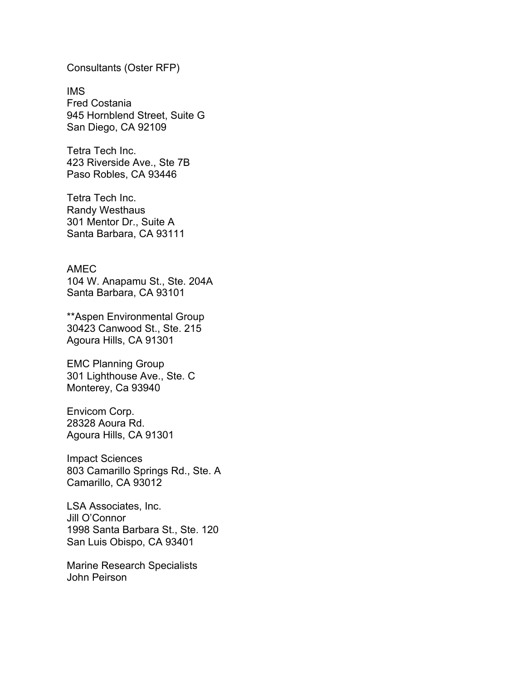Consultants (Oster RFP)

IMS Fred Costania 945 Hornblend Street, Suite G San Diego, CA 92109

Tetra Tech Inc. 423 Riverside Ave., Ste 7B Paso Robles, CA 93446

Tetra Tech Inc. Randy Westhaus 301 Mentor Dr., Suite A Santa Barbara, CA 93111

AMEC 104 W. Anapamu St., Ste. 204A Santa Barbara, CA 93101

\*\*Aspen Environmental Group 30423 Canwood St., Ste. 215 Agoura Hills, CA 91301

EMC Planning Group 301 Lighthouse Ave., Ste. C Monterey, Ca 93940

Envicom Corp. 28328 Aoura Rd. Agoura Hills, CA 91301

Impact Sciences 803 Camarillo Springs Rd., Ste. A Camarillo, CA 93012

LSA Associates, Inc. Jill O'Connor 1998 Santa Barbara St., Ste. 120 San Luis Obispo, CA 93401

Marine Research Specialists John Peirson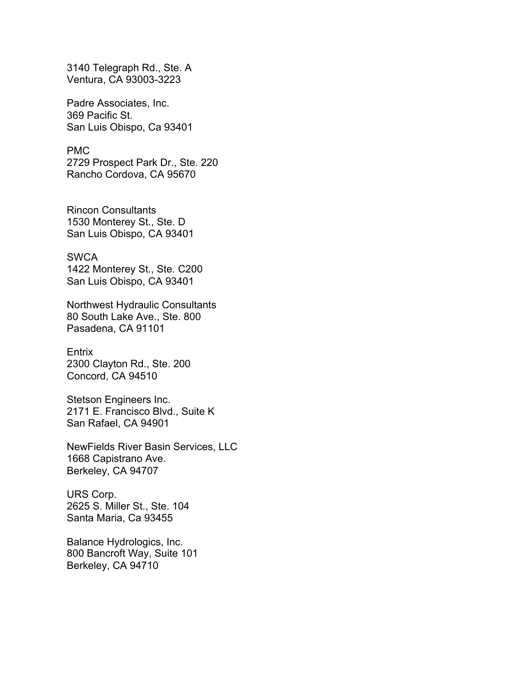3140 Telegraph Rd., Ste. A Ventura, CA 93003-3223

Padre Associates, Inc. 369 Pacific St. San Luis Obispo, Ca 93401

PMC 2729 Prospect Park Dr., Ste. 220 Rancho Cordova, CA 95670

Rincon Consultants 1530 Monterey St., Ste. D San Luis Obispo, CA 93401

**SWCA** 1422 Monterey St., Ste. C200 San Luis Obispo, CA 93401

Northwest Hydraulic Consultants 80 South Lake Ave., Ste. 800 Pasadena, CA 91101

Entrix 2300 Clayton Rd., Ste. 200 Concord, CA 94510

Stetson Engineers Inc. 2171 E. Francisco Blvd., Suite K San Rafael, CA 94901

NewFields River Basin Services, LLC 1668 Capistrano Ave. Berkeley, CA 94707

URS Corp. 2625 S. Miller St., Ste. 104 Santa Maria, Ca 93455

Balance Hydrologics, Inc. 800 Bancroft Way, Suite 101 Berkeley, CA 94710